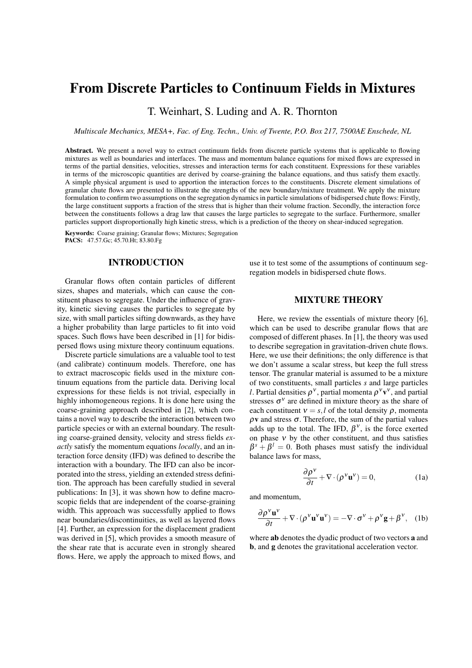# From Discrete Particles to Continuum Fields in Mixtures

T. Weinhart, S. Luding and A. R. Thornton

*Multiscale Mechanics, MESA+, Fac. of Eng. Techn., Univ. of Twente, P.O. Box 217, 7500AE Enschede, NL*

Abstract. We present a novel way to extract continuum fields from discrete particle systems that is applicable to flowing mixtures as well as boundaries and interfaces. The mass and momentum balance equations for mixed flows are expressed in terms of the partial densities, velocities, stresses and interaction terms for each constituent. Expressions for these variables in terms of the microscopic quantities are derived by coarse-graining the balance equations, and thus satisfy them exactly. A simple physical argument is used to apportion the interaction forces to the constituents. Discrete element simulations of granular chute flows are presented to illustrate the strengths of the new boundary/mixture treatment. We apply the mixture formulation to confirm two assumptions on the segregation dynamics in particle simulations of bidispersed chute flows: Firstly, the large constituent supports a fraction of the stress that is higher than their volume fraction. Secondly, the interaction force between the constituents follows a drag law that causes the large particles to segregate to the surface. Furthermore, smaller particles support disproportionally high kinetic stress, which is a prediction of the theory on shear-induced segregation.

Keywords: Coarse graining; Granular flows; Mixtures; Segregation PACS: 47.57.Gc; 45.70.Ht; 83.80.Fg

#### INTRODUCTION

Granular flows often contain particles of different sizes, shapes and materials, which can cause the constituent phases to segregate. Under the influence of gravity, kinetic sieving causes the particles to segregate by size, with small particles sifting downwards, as they have a higher probability than large particles to fit into void spaces. Such flows have been described in [1] for bidispersed flows using mixture theory continuum equations.

Discrete particle simulations are a valuable tool to test (and calibrate) continuum models. Therefore, one has to extract macroscopic fields used in the mixture continuum equations from the particle data. Deriving local expressions for these fields is not trivial, especially in highly inhomogeneous regions. It is done here using the coarse-graining approach described in [2], which contains a novel way to describe the interaction between two particle species or with an external boundary. The resulting coarse-grained density, velocity and stress fields *exactly* satisfy the momentum equations *locally*, and an interaction force density (IFD) was defined to describe the interaction with a boundary. The IFD can also be incorporated into the stress, yielding an extended stress definition. The approach has been carefully studied in several publications: In [3], it was shown how to define macroscopic fields that are independent of the coarse-graining width. This approach was successfully applied to flows near boundaries/discontinuities, as well as layered flows [4]. Further, an expression for the displacement gradient was derived in [5], which provides a smooth measure of the shear rate that is accurate even in strongly sheared flows. Here, we apply the approach to mixed flows, and use it to test some of the assumptions of continuum segregation models in bidispersed chute flows.

## MIXTURE THEORY

Here, we review the essentials of mixture theory [6], which can be used to describe granular flows that are composed of different phases. In [1], the theory was used to describe segregation in gravitation-driven chute flows. Here, we use their definitions; the only difference is that we don't assume a scalar stress, but keep the full stress tensor. The granular material is assumed to be a mixture of two constituents, small particles *s* and large particles *l*. Partial densities  $\rho^v$ , partial momenta  $\rho^v v^v$ , and partial stresses  $\sigma^v$  are defined in mixture theory as the share of each constituent  $v = s, l$  of the total density  $\rho$ , momenta  $\rho$ v and stress  $\sigma$ . Therefore, the sum of the partial values adds up to the total. The IFD,  $\beta^{\nu}$ , is the force exerted on phase  $v$  by the other constituent, and thus satisfies  $\beta^s + \beta^l = 0$ . Both phases must satisfy the individual balance laws for mass,

$$
\frac{\partial \rho^{\nu}}{\partial t} + \nabla \cdot (\rho^{\nu} \mathbf{u}^{\nu}) = 0, \qquad (1a)
$$

and momentum,

$$
\frac{\partial \rho^v \mathbf{u}^v}{\partial t} + \nabla \cdot (\rho^v \mathbf{u}^v \mathbf{u}^v) = -\nabla \cdot \sigma^v + \rho^v \mathbf{g} + \beta^v, \quad (1b)
$$

where ab denotes the dyadic product of two vectors a and b, and g denotes the gravitational acceleration vector.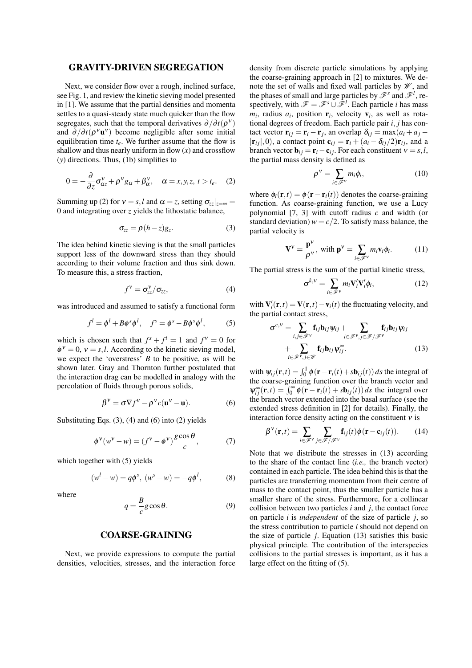### GRAVITY-DRIVEN SEGREGATION

Next, we consider flow over a rough, inclined surface, see Fig. 1, and review the kinetic sieving model presented in [1]. We assume that the partial densities and momenta settles to a quasi-steady state much quicker than the flow segregates, such that the temporal derivatives  $\partial/\partial t(\rho^{\nu})$ and  $\partial/\partial t$ ( $\rho^{\nu}$ **u**<sup> $\nu$ </sup>) become negligible after some initial equilibration time  $t_e$ . We further assume that the flow is shallow and thus nearly uniform in flow (*x*) and crossflow (*y*) directions. Thus, (1b) simplifies to

$$
0 = -\frac{\partial}{\partial z}\sigma_{\alpha z}^{\nu} + \rho^{\nu}g_{\alpha} + \beta_{\alpha}^{\nu}, \quad \alpha = x, y, z, t > t_e. \quad (2)
$$

Summing up (2) for  $v = s$ , *l* and  $\alpha = z$ , setting  $\sigma_{zz}|_{z=\infty} =$ 0 and integrating over *z* yields the lithostatic balance,

$$
\sigma_{zz} = \rho (h - z) g_z. \tag{3}
$$

The idea behind kinetic sieving is that the small particles support less of the downward stress than they should according to their volume fraction and thus sink down. To measure this, a stress fraction,

$$
f^{\mathbf{V}} = \sigma_{zz}^{\mathbf{V}} / \sigma_{zz}, \tag{4}
$$

was introduced and assumed to satisfy a functional form

$$
f^{l} = \phi^{l} + B\phi^{s}\phi^{l}, \quad f^{s} = \phi^{s} - B\phi^{s}\phi^{l}, \quad (5)
$$

which is chosen such that  $f^s + f^l = 1$  and  $f^v = 0$  for  $\phi^{\nu} = 0$ ,  $\nu = s, l$ . According to the kinetic sieving model, we expect the 'overstress' *B* to be positive, as will be shown later. Gray and Thornton further postulated that the interaction drag can be modelled in analogy with the percolation of fluids through porous solids,

$$
\beta^{\nu} = \sigma \nabla f^{\nu} - \rho^{\nu} c(\mathbf{u}^{\nu} - \mathbf{u}).
$$
 (6)

Substituting Eqs. (3), (4) and (6) into (2) yields

$$
\phi^V(w^V - w) = (f^V - \phi^V) \frac{g \cos \theta}{c},\tag{7}
$$

which together with (5) yields

$$
(wl - w) = q\phis, (ws - w) = -q\phil,
$$
 (8)

where

$$
q = -\frac{B}{c}g\cos\theta.
$$
 (9)

## COARSE-GRAINING

Next, we provide expressions to compute the partial densities, velocities, stresses, and the interaction force density from discrete particle simulations by applying the coarse-graining approach in [2] to mixtures. We denote the set of walls and fixed wall particles by  $\mathcal W$ , and the phases of small and large particles by  $\mathscr{F}^s$  and  $\mathscr{F}^l$ , respectively, with  $\mathscr{F} = \mathscr{F}^s \cup \mathscr{F}^l$ . Each particle *i* has mass  $m_i$ , radius  $a_i$ , position  $\mathbf{r}_i$ , velocity  $\mathbf{v}_i$ , as well as rotational degrees of freedom. Each particle pair *i*, *j* has con- $\tanct$  vector  $\mathbf{r}_{ij} = \mathbf{r}_i - \mathbf{r}_j$ , an overlap  $\delta_{ij} = \max(a_i + a_j - \mathbf{r}_j)$  $|\mathbf{r}_{ij}|,0$ , a contact point  $\mathbf{c}_{ij} = \mathbf{r}_i + (a_i - \delta_{ij}/2)\mathbf{r}_{ij}$ , and a branch vector  $\mathbf{b}_{ij} = \mathbf{r}_i - \mathbf{c}_{ij}$ . For each constituent  $v = s, l$ , the partial mass density is defined as

$$
\rho^{\nu} = \sum_{i \in \mathscr{F}^{\nu}} m_i \phi_i, \tag{10}
$$

where  $\phi_i(\mathbf{r},t) = \phi(\mathbf{r} - \mathbf{r}_i(t))$  denotes the coarse-graining function. As coarse-graining function, we use a Lucy polynomial [7, 3] with cutoff radius *c* and width (or standard deviation)  $w = c/2$ . To satisfy mass balance, the partial velocity is

$$
\mathbf{V}^{\mathbf{V}} = \frac{\mathbf{p}^{\mathbf{V}}}{\rho^{\mathbf{V}}}, \text{ with } \mathbf{p}^{\mathbf{V}} = \sum_{i \in \mathscr{F}^{\mathbf{V}}} m_i \mathbf{v}_i \phi_i. \tag{11}
$$

The partial stress is the sum of the partial kinetic stress,

$$
\sigma^{k,v} = \sum_{i \in \mathcal{F}^v} m_i \mathbf{V}'_i \mathbf{V}'_i \phi_i, \tag{12}
$$

with  $V'_i(\mathbf{r},t) = \mathbf{V}(\mathbf{r},t) - \mathbf{v}_i(t)$  the fluctuating velocity, and the partial contact stress,

$$
\sigma^{c,v} = \sum_{i,j \in \mathscr{F}^v} \mathbf{f}_{ij} \mathbf{b}_{ij} \psi_{ij} + \sum_{i \in \mathscr{F}^v, j \in \mathscr{F}/\mathscr{F}^v} \mathbf{f}_{ij} \mathbf{b}_{ij} \psi_{ij}
$$
  
+ 
$$
\sum_{i \in \mathscr{F}^v, j \in \mathscr{W}} \mathbf{f}_{ij} \mathbf{b}_{ij} \psi_{ij}^{\infty}.
$$
 (13)

with  $\psi_{ij}(\mathbf{r},t) = \int_0^1 \phi(\mathbf{r}-\mathbf{r}_i(t)+s\mathbf{b}_{ij}(t)) ds$  the integral of the coarse-graining function over the branch vector and  $\Psi_{ij}^{\infty}(\mathbf{r},t) = \int_0^{\infty} \phi(\mathbf{r} - \mathbf{r}_i(t) + s \mathbf{b}_{ij}(t)) ds$  the integral over the branch vector extended into the basal surface (see the extended stress definition in [2] for details). Finally, the interaction force density acting on the constituent  $v$  is

$$
\beta^{\nu}(\mathbf{r},t) = \sum_{i \in \mathscr{F}^{\nu}} \sum_{j \in \mathscr{F}/\mathscr{F}^{\nu}} \mathbf{f}_{ij}(t) \phi(\mathbf{r} - \mathbf{c}_{ij}(t)). \tag{14}
$$

Note that we distribute the stresses in (13) according to the share of the contact line (*i.e.,* the branch vector) contained in each particle. The idea behind this is that the particles are transferring momentum from their centre of mass to the contact point, thus the smaller particle has a smaller share of the stress. Furthermore, for a collinear collision between two particles *i* and *j*, the contact force on particle *i* is *independent* of the size of particle *j*, so the stress contribution to particle *i* should not depend on the size of particle *j*. Equation (13) satisfies this basic physical principle. The contribution of the interspecies collisions to the partial stresses is important, as it has a large effect on the fitting of (5).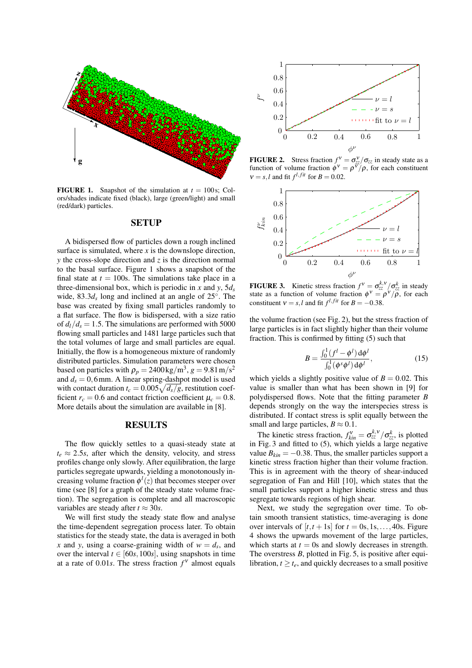

**FIGURE 1.** Snapshot of the simulation at  $t = 100$  s; Colors/shades indicate fixed (black), large (green/light) and small (red/dark) particles.

#### SETUP

A bidispersed flow of particles down a rough inclined surface is simulated, where *x* is the downslope direction, *y* the cross-slope direction and *z* is the direction normal to the basal surface. Figure 1 shows a snapshot of the final state at  $t = 100$ s. The simulations take place in a three-dimensional box, which is periodic in *x* and *y*,  $5d_s$ wide,  $83.3d_s$  long and inclined at an angle of  $25^\circ$ . The base was created by fixing small particles randomly to a flat surface. The flow is bidispersed, with a size ratio of  $d_l/d_s = 1.5$ . The simulations are performed with 5000 flowing small particles and 1481 large particles such that the total volumes of large and small particles are equal. Initially, the flow is a homogeneous mixture of randomly distributed particles. Simulation parameters were chosen based on particles with  $\rho_p = 2400 \text{kg/m}^3$ ,  $g = 9.81 \text{m/s}^2$ and  $d_s = 0,6$  mm. A linear spring-dashpot model is used with contact duration  $t_c = 0.005\sqrt{d_s/g}$ , restitution coefficient  $r_c = 0.6$  and contact friction coefficient  $\mu_c = 0.8$ . More details about the simulation are available in [8].

#### RESULTS

The flow quickly settles to a quasi-steady state at  $t_e \approx 2.5s$ , after which the density, velocity, and stress profiles change only slowly. After equilibration, the large particles segregate upwards, yielding a monotonously increasing volume fraction  $\phi^l(z)$  that becomes steeper over time (see [8] for a graph of the steady state volume fraction). The segregation is complete and all macroscopic variables are steady after  $t \approx 30s$ .

We will first study the steady state flow and analyse the time-dependent segregation process later. To obtain statistics for the steady state, the data is averaged in both *x* and *y*, using a coarse-graining width of  $w = d_s$ , and over the interval  $t \in [60s, 100s]$ , using snapshots in time at a rate of 0.01*s*. The stress fraction  $f<sup>V</sup>$  almost equals



**FIGURE 2.** Stress fraction  $f'' = \sigma_{zz}^{\nu}/\sigma_{zz}$  in steady state as a function of volume fraction  $\phi^{\gamma} = \rho^{\gamma} / \rho$ , for each constituent  $v = s, l$  and fit  $f^{l, fit}$  for  $B = 0.02$ .



**FIGURE 3.** Kinetic stress fraction  $f^{\nu} = \sigma_{zz}^{k,\nu}/\sigma_{zz}^k$  in steady state as a function of volume fraction  $\phi^{\nu} = \rho^{\nu}/\tilde{\rho}$ , for each constituent  $v = s, l$  and fit  $f^{l, fit}$  for  $B = -0.38$ .

the volume fraction (see Fig. 2), but the stress fraction of large particles is in fact slightly higher than their volume fraction. This is confirmed by fitting (5) such that

$$
B = \frac{\int_0^1 (f^l - \phi^l) d\phi^l}{\int_0^1 (\phi^s \phi^l) d\phi^l},
$$
\n(15)

which yields a slightly positive value of  $B = 0.02$ . This value is smaller than what has been shown in [9] for polydispersed flows. Note that the fitting parameter *B* depends strongly on the way the interspecies stress is distributed. If contact stress is split equally between the small and large particles,  $B \approx 0.1$ .

The kinetic stress fraction,  $f_{kin}^{\nu} = \sigma_{zz}^{k,\nu}/\sigma_{zz}^k$ , is plotted in Fig. 3 and fitted to (5), which yields a large negative value  $B_{kin} = -0.38$ . Thus, the smaller particles support a kinetic stress fraction higher than their volume fraction. This is in agreement with the theory of shear-induced segregation of Fan and Hill [10], which states that the small particles support a higher kinetic stress and thus segregate towards regions of high shear.

Next, we study the segregation over time. To obtain smooth transient statistics, time-averaging is done over intervals of  $[t, t+1s]$  for  $t = 0s, 1s, \ldots, 40s$ . Figure 4 shows the upwards movement of the large particles, which starts at  $t = 0$ s and slowly decreases in strength. The overstress *B*, plotted in Fig. 5, is positive after equilibration,  $t \geq t_e$ , and quickly decreases to a small positive